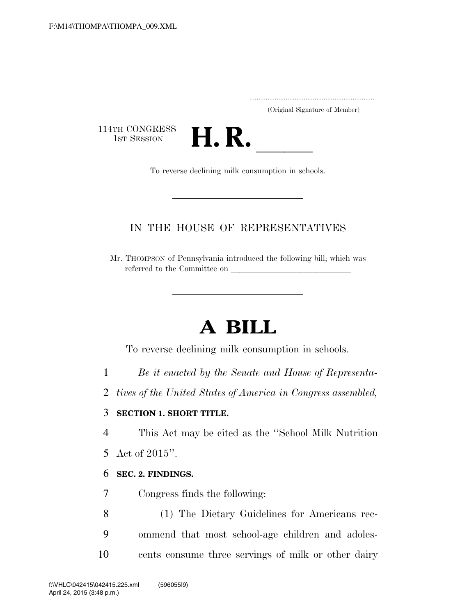.....................................................................

(Original Signature of Member)

114TH CONGRESS<br>1st Session



### IN THE HOUSE OF REPRESENTATIVES

Mr. THOMPSON of Pennsylvania introduced the following bill; which was referred to the Committee on

# **A BILL**

To reverse declining milk consumption in schools.

- 1 *Be it enacted by the Senate and House of Representa-*
- 2 *tives of the United States of America in Congress assembled,*

#### 3 **SECTION 1. SHORT TITLE.**

4 This Act may be cited as the ''School Milk Nutrition

5 Act of 2015''.

#### 6 **SEC. 2. FINDINGS.**

- 7 Congress finds the following:
- 8 (1) The Dietary Guidelines for Americans rec-9 ommend that most school-age children and adoles-10 cents consume three servings of milk or other dairy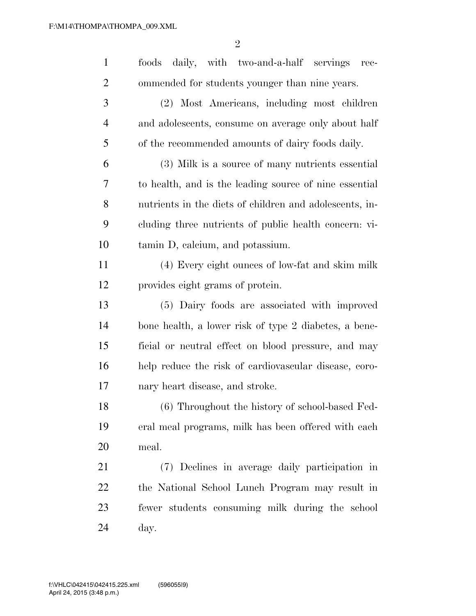| $\mathbf{1}$   | daily, with two-and-a-half servings<br>foods<br>$rec-$  |
|----------------|---------------------------------------------------------|
| $\overline{2}$ | ommended for students younger than nine years.          |
| 3              | (2) Most Americans, including most children             |
| $\overline{4}$ | and adolescents, consume on average only about half     |
| 5              | of the recommended amounts of dairy foods daily.        |
| 6              | (3) Milk is a source of many nutrients essential        |
| 7              | to health, and is the leading source of nine essential  |
| 8              | nutrients in the diets of children and adolescents, in- |
| 9              | cluding three nutrients of public health concern: vi-   |
| 10             | tamin D, calcium, and potassium.                        |
| 11             | (4) Every eight ounces of low-fat and skim milk         |
| 12             | provides eight grams of protein.                        |
| 13             | (5) Dairy foods are associated with improved            |
| 14             | bone health, a lower risk of type 2 diabetes, a bene-   |
| 15             | ficial or neutral effect on blood pressure, and may     |
| 16             | help reduce the risk of cardiovascular disease, coro-   |
| 17             | nary heart disease, and stroke.                         |
| 18             | (6) Throughout the history of school-based Fed-         |
| 19             | eral meal programs, milk has been offered with each     |
| 20             | meal.                                                   |
| 21             | (7) Declines in average daily participation in          |
| 22             | the National School Lunch Program may result in         |
| 23             | fewer students consuming milk during the school         |
| 24             | day.                                                    |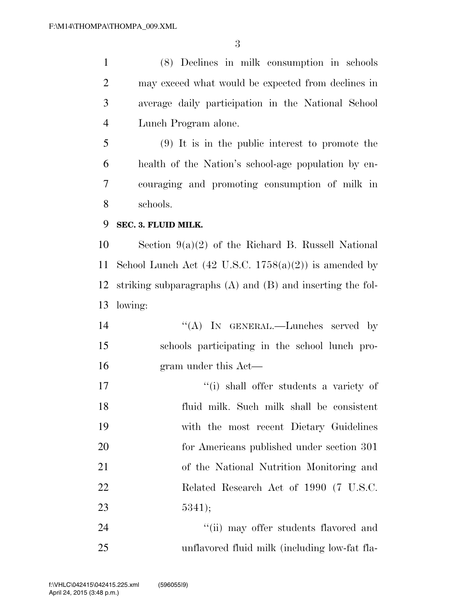(8) Declines in milk consumption in schools may exceed what would be expected from declines in average daily participation in the National School Lunch Program alone.

 (9) It is in the public interest to promote the health of the Nation's school-age population by en- couraging and promoting consumption of milk in schools.

#### **SEC. 3. FLUID MILK.**

 Section 9(a)(2) of the Richard B. Russell National 11 School Lunch Act  $(42 \text{ U.S.C. } 1758(a)(2))$  is amended by striking subparagraphs (A) and (B) and inserting the fol-lowing:

- 14 "(A) IN GENERAL.—Lunches served by schools participating in the school lunch pro-gram under this Act—
- 17  $\frac{1}{10}$  shall offer students a variety of fluid milk. Such milk shall be consistent with the most recent Dietary Guidelines for Americans published under section 301 of the National Nutrition Monitoring and Related Research Act of 1990 (7 U.S.C. 5341);

24 ''(ii) may offer students flavored and unflavored fluid milk (including low-fat fla-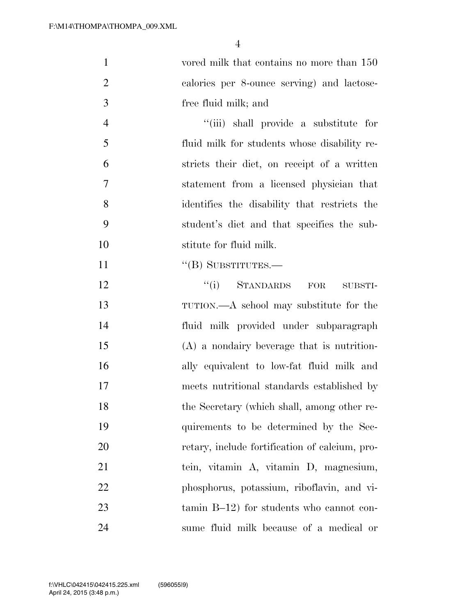| $\mathbf{1}$   | vored milk that contains no more than 150      |
|----------------|------------------------------------------------|
| $\overline{2}$ | calories per 8-ounce serving) and lactose-     |
| 3              | free fluid milk; and                           |
| $\overline{4}$ | "(iii) shall provide a substitute for          |
| 5              | fluid milk for students whose disability re-   |
| 6              | stricts their diet, on receipt of a written    |
| 7              | statement from a licensed physician that       |
| 8              | identifies the disability that restricts the   |
| 9              | student's diet and that specifies the sub-     |
| 10             | stitute for fluid milk.                        |
| 11             | "(B) SUBSTITUTES.—                             |
| 12             | $``(i)$ STANDARDS FOR<br>SUBSTI-               |
| 13             | TUTION.—A school may substitute for the        |
| 14             | fluid milk provided under subparagraph         |
| 15             | $(A)$ a nondairy beverage that is nutrition-   |
| 16             | ally equivalent to low-fat fluid milk and      |
| 17             | meets nutritional standards established by     |
| 18             | the Secretary (which shall, among other re-    |
| 19             | quirements to be determined by the Sec-        |
| 20             | retary, include fortification of calcium, pro- |
| 21             | tein, vitamin A, vitamin D, magnesium,         |
| 22             | phosphorus, potassium, riboflavin, and vi-     |
| 23             | tamin $B-12$ ) for students who cannot con-    |
| 24             | sume fluid milk because of a medical or        |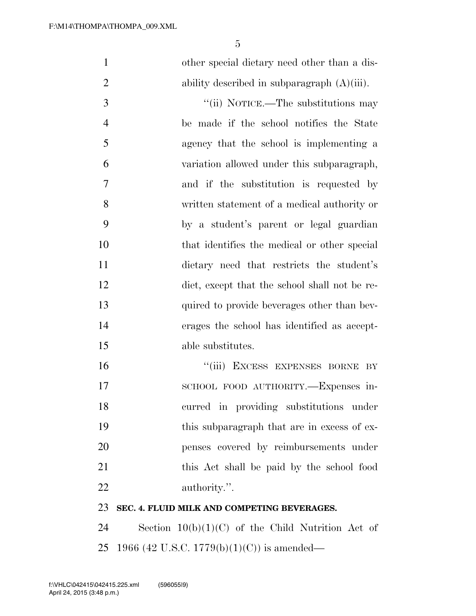| $\mathbf{1}$   | other special dietary need other than a dis-   |
|----------------|------------------------------------------------|
| $\overline{2}$ | ability described in subparagraph $(A)(iii)$ . |
| 3              | "(ii) NOTICE.—The substitutions may            |
| $\overline{4}$ | be made if the school notifies the State       |
| 5              | agency that the school is implementing a       |
| 6              | variation allowed under this subparagraph,     |
| $\overline{7}$ | and if the substitution is requested by        |
| 8              | written statement of a medical authority or    |
| 9              | by a student's parent or legal guardian        |
| 10             | that identifies the medical or other special   |
| 11             | dietary need that restricts the student's      |
| 12             | diet, except that the school shall not be re-  |
| 13             | quired to provide beverages other than bev-    |
| 14             | erages the school has identified as accept-    |
| 15             | able substitutes.                              |
| 16             | "(iii) EXCESS EXPENSES BORNE BY                |
| 17             | SCHOOL FOOD AUTHORITY.-Expenses in-            |
| 18             | curred in providing substitutions under        |
| 19             | this subparagraph that are in excess of ex-    |
| 20             | penses covered by reimbursements under         |
| 21             | this Act shall be paid by the school food      |
| 22             | authority.".                                   |
| 23             | SEC. 4. FLUID MILK AND COMPETING BEVERAGES.    |
|                |                                                |

 Section 10(b)(1)(C) of the Child Nutrition Act of 1966 (42 U.S.C. 1779(b)(1)(C)) is amended—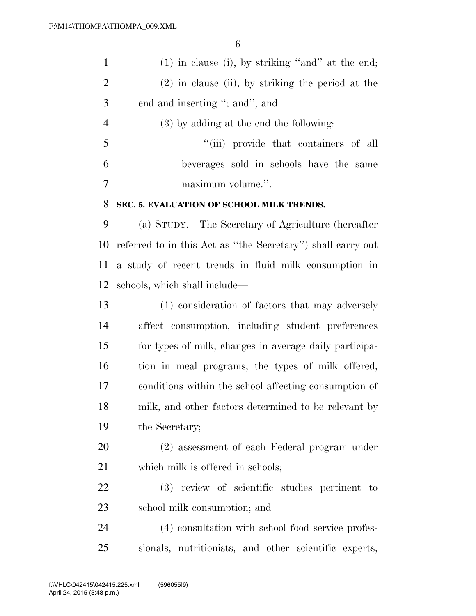| $\mathbf{1}$   | $(1)$ in clause (i), by striking "and" at the end;          |
|----------------|-------------------------------------------------------------|
| $\overline{2}$ | $(2)$ in clause (ii), by striking the period at the         |
| 3              | end and inserting "; and"; and                              |
| $\overline{4}$ | $(3)$ by adding at the end the following:                   |
| 5              | "(iii) provide that containers of all                       |
| 6              | beverages sold in schools have the same                     |
| $\tau$         | maximum volume.".                                           |
| 8              | SEC. 5. EVALUATION OF SCHOOL MILK TRENDS.                   |
| 9              | (a) STUDY.—The Secretary of Agriculture (hereafter          |
| 10             | referred to in this Act as "the Secretary") shall carry out |
| 11             | a study of recent trends in fluid milk consumption in       |
| 12             | schools, which shall include—                               |
| 13             | (1) consideration of factors that may adversely             |
| 14             | affect consumption, including student preferences           |
| 15             | for types of milk, changes in average daily participa-      |
| 16             | tion in meal programs, the types of milk offered,           |
|                |                                                             |

 conditions within the school affecting consumption of milk, and other factors determined to be relevant by the Secretary;

 (2) assessment of each Federal program under 21 which milk is offered in schools;

 (3) review of scientific studies pertinent to school milk consumption; and

 (4) consultation with school food service profes-sionals, nutritionists, and other scientific experts,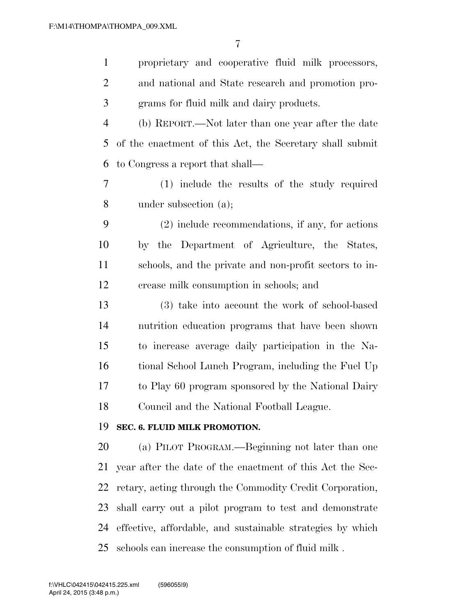| $\mathbf{1}$   | proprietary and cooperative fluid milk processors,         |
|----------------|------------------------------------------------------------|
| $\overline{2}$ | and national and State research and promotion pro-         |
| 3              | grams for fluid milk and dairy products.                   |
| $\overline{4}$ | (b) REPORT.—Not later than one year after the date         |
| 5              | of the enactment of this Act, the Secretary shall submit   |
| 6              | to Congress a report that shall—                           |
| 7              | (1) include the results of the study required              |
| 8              | under subsection (a);                                      |
| 9              | $(2)$ include recommendations, if any, for actions         |
| 10             | by the Department of Agriculture, the States,              |
| 11             | schools, and the private and non-profit sectors to in-     |
| 12             | crease milk consumption in schools; and                    |
| 13             | (3) take into account the work of school-based             |
| 14             | nutrition education programs that have been shown          |
| 15             | to increase average daily participation in the Na-         |
| 16             | tional School Lunch Program, including the Fuel Up         |
| 17             | to Play 60 program sponsored by the National Dairy         |
| 18             | Council and the National Football League.                  |
| 19             | SEC. 6. FLUID MILK PROMOTION.                              |
| 20             | (a) PILOT PROGRAM.—Beginning not later than one            |
| 21             | year after the date of the enactment of this Act the Sec-  |
| 22             | retary, acting through the Commodity Credit Corporation,   |
| 23             | shall carry out a pilot program to test and demonstrate    |
| 24             | effective, affordable, and sustainable strategies by which |
| 25             | schools can increase the consumption of fluid milk.        |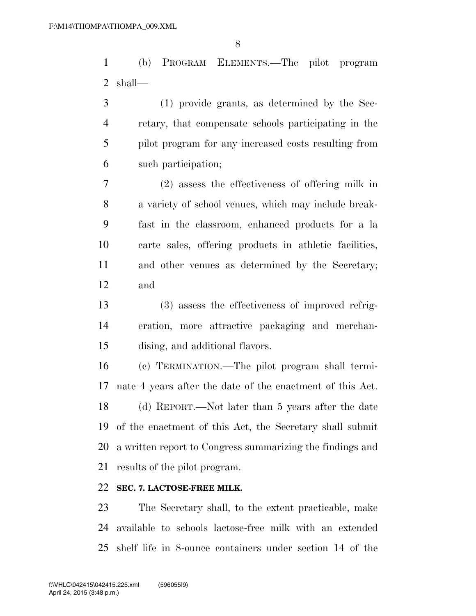(b) PROGRAM ELEMENTS.—The pilot program shall—

 (1) provide grants, as determined by the Sec- retary, that compensate schools participating in the pilot program for any increased costs resulting from such participation;

 (2) assess the effectiveness of offering milk in a variety of school venues, which may include break- fast in the classroom, enhanced products for a la carte sales, offering products in athletic facilities, and other venues as determined by the Secretary; and

 (3) assess the effectiveness of improved refrig- eration, more attractive packaging and merchan-dising, and additional flavors.

 (c) TERMINATION.—The pilot program shall termi- nate 4 years after the date of the enactment of this Act. (d) REPORT.—Not later than 5 years after the date of the enactment of this Act, the Secretary shall submit a written report to Congress summarizing the findings and results of the pilot program.

#### **SEC. 7. LACTOSE-FREE MILK.**

 The Secretary shall, to the extent practicable, make available to schools lactose-free milk with an extended shelf life in 8-ounce containers under section 14 of the